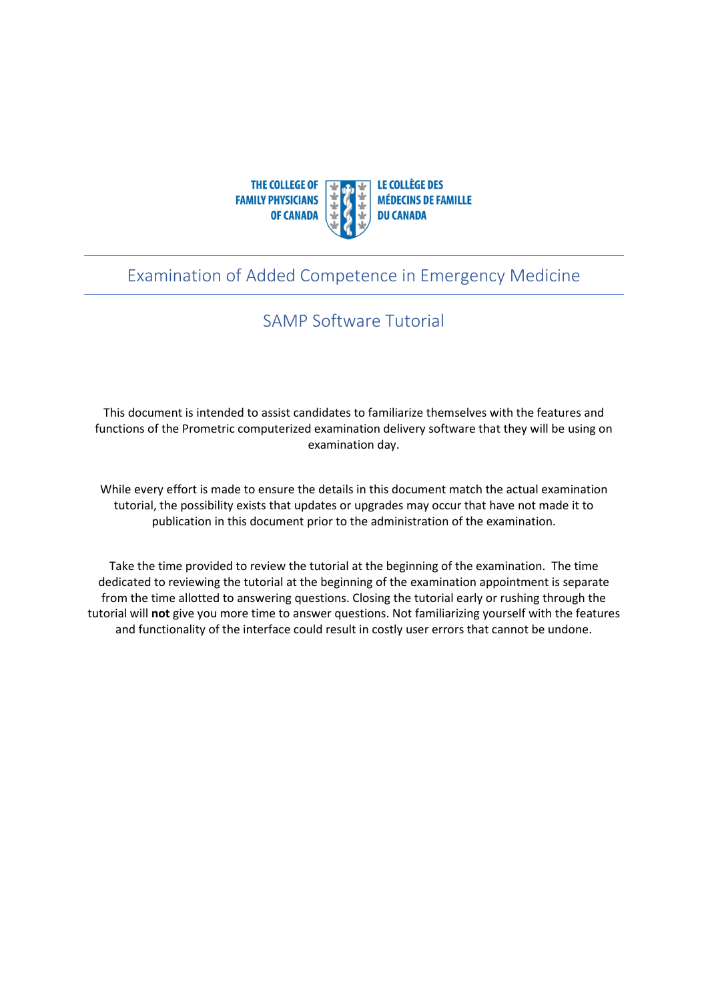

### Examination of Added Competence in Emergency Medicine

## SAMP Software Tutorial

This document is intended to assist candidates to familiarize themselves with the features and functions of the Prometric computerized examination delivery software that they will be using on examination day.

While every effort is made to ensure the details in this document match the actual examination tutorial, the possibility exists that updates or upgrades may occur that have not made it to publication in this document prior to the administration of the examination.

Take the time provided to review the tutorial at the beginning of the examination. The time dedicated to reviewing the tutorial at the beginning of the examination appointment is separate from the time allotted to answering questions. Closing the tutorial early or rushing through the tutorial will **not** give you more time to answer questions. Not familiarizing yourself with the features and functionality of the interface could result in costly user errors that cannot be undone.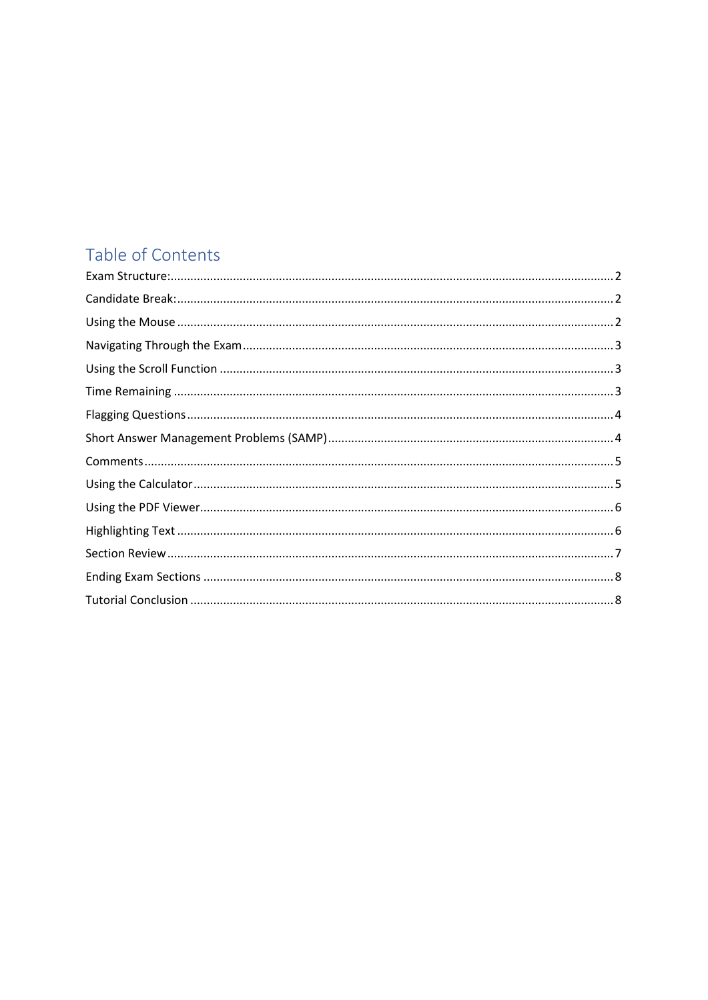# Table of Contents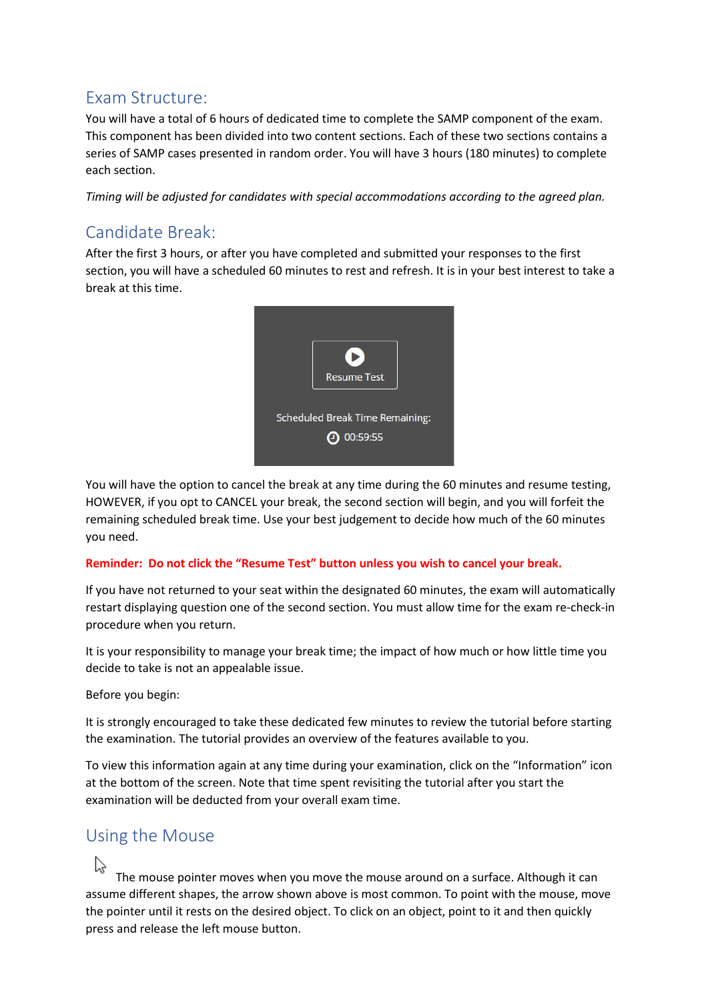## <span id="page-2-0"></span>Exam Structure:

You will have a total of 6 hours of dedicated time to complete the SAMP component of the exam. This component has been divided into two content sections. Each of these two sections contains a series of SAMP cases presented in random order. You will have 3 hours (180 minutes) to complete each section.

*Timing will be adjusted for candidates with special accommodations according to the agreed plan.*

## <span id="page-2-1"></span>Candidate Break:

After the first 3 hours, or after you have completed and submitted your responses to the first section, you will have a scheduled 60 minutes to rest and refresh. It is in your best interest to take a break at this time.



You will have the option to cancel the break at any time during the 60 minutes and resume testing, HOWEVER, if you opt to CANCEL your break, the second section will begin, and you will forfeit the remaining scheduled break time. Use your best judgement to decide how much of the 60 minutes you need.

#### **Reminder: Do not click the "Resume Test" button unless you wish to cancel your break.**

If you have not returned to your seat within the designated 60 minutes, the exam will automatically restart displaying question one of the second section. You must allow time for the exam re-check-in procedure when you return.

It is your responsibility to manage your break time; the impact of how much or how little time you decide to take is not an appealable issue.

Before you begin:

It is strongly encouraged to take these dedicated few minutes to review the tutorial before starting the examination. The tutorial provides an overview of the features available to you.

To view this information again at any time during your examination, click on the "Information" icon at the bottom of the screen. Note that time spent revisiting the tutorial after you start the examination will be deducted from your overall exam time.

#### <span id="page-2-2"></span>Using the Mouse

The mouse pointer moves when you move the mouse around on a surface. Although it can assume different shapes, the arrow shown above is most common. To point with the mouse, move the pointer until it rests on the desired object. To click on an object, point to it and then quickly press and release the left mouse button.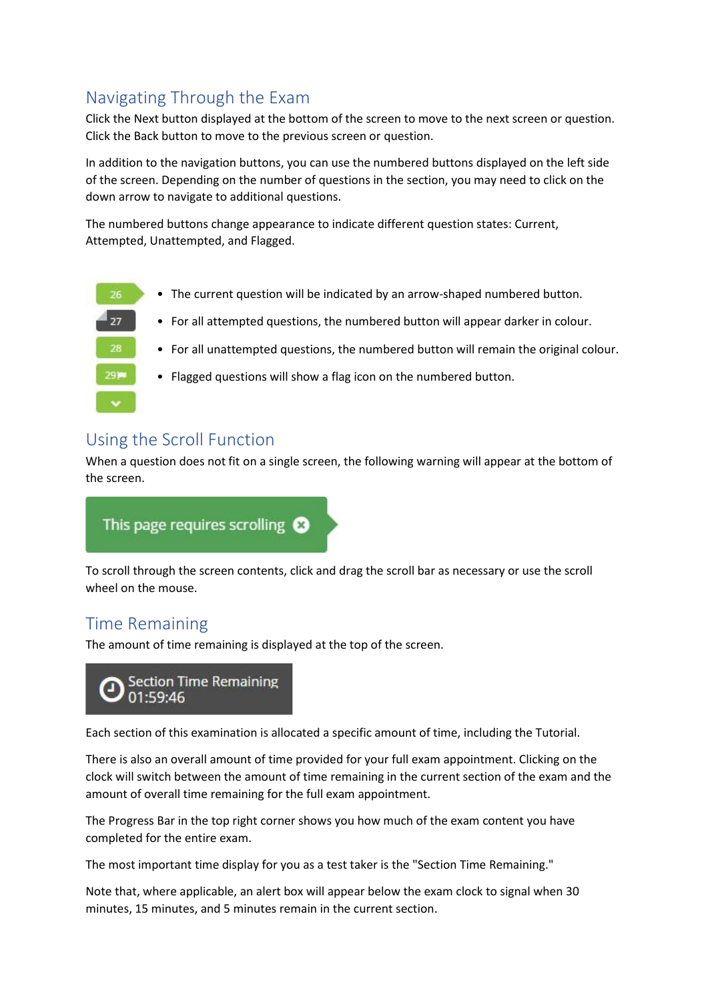# <span id="page-3-0"></span>Navigating Through the Exam

Click the Next button displayed at the bottom of the screen to move to the next screen or question. Click the Back button to move to the previous screen or question.

In addition to the navigation buttons, you can use the numbered buttons displayed on the left side of the screen. Depending on the number of questions in the section, you may need to click on the down arrow to navigate to additional questions.

The numbered buttons change appearance to indicate different question states: Current, Attempted, Unattempted, and Flagged.

• The current question will be indicated by an arrow-shaped numbered button. • For all attempted questions, the numbered button will appear darker in colour. • For all unattempted questions, the numbered button will remain the original colour. • Flagged questions will show a flag icon on the numbered button.

#### <span id="page-3-1"></span>Using the Scroll Function

When a question does not fit on a single screen, the following warning will appear at the bottom of the screen.



To scroll through the screen contents, click and drag the scroll bar as necessary or use the scroll wheel on the mouse.

# <span id="page-3-2"></span>Time Remaining

The amount of time remaining is displayed at the top of the screen.



Each section of this examination is allocated a specific amount of time, including the Tutorial.

There is also an overall amount of time provided for your full exam appointment. Clicking on the clock will switch between the amount of time remaining in the current section of the exam and the amount of overall time remaining for the full exam appointment.

The Progress Bar in the top right corner shows you how much of the exam content you have completed for the entire exam.

The most important time display for you as a test taker is the "Section Time Remaining."

Note that, where applicable, an alert box will appear below the exam clock to signal when 30 minutes, 15 minutes, and 5 minutes remain in the current section.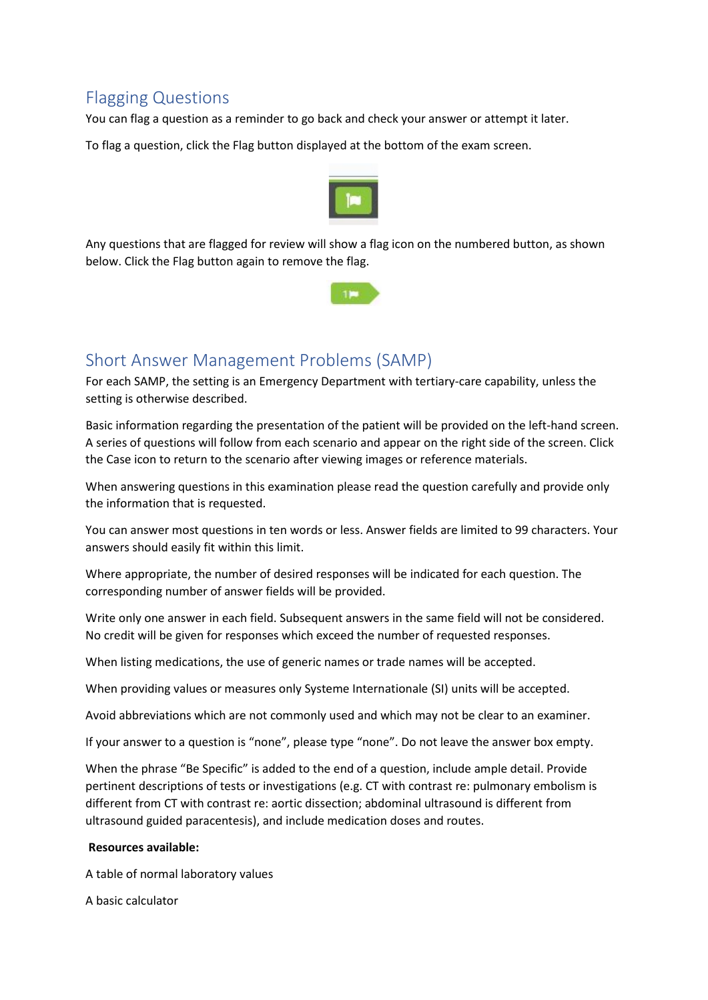## <span id="page-4-0"></span>Flagging Questions

You can flag a question as a reminder to go back and check your answer or attempt it later.

To flag a question, click the Flag button displayed at the bottom of the exam screen.



Any questions that are flagged for review will show a flag icon on the numbered button, as shown below. Click the Flag button again to remove the flag.



#### <span id="page-4-1"></span>Short Answer Management Problems (SAMP)

For each SAMP, the setting is an Emergency Department with tertiary-care capability, unless the setting is otherwise described.

Basic information regarding the presentation of the patient will be provided on the left-hand screen. A series of questions will follow from each scenario and appear on the right side of the screen. Click the Case icon to return to the scenario after viewing images or reference materials.

When answering questions in this examination please read the question carefully and provide only the information that is requested.

You can answer most questions in ten words or less. Answer fields are limited to 99 characters. Your answers should easily fit within this limit.

Where appropriate, the number of desired responses will be indicated for each question. The corresponding number of answer fields will be provided.

Write only one answer in each field. Subsequent answers in the same field will not be considered. No credit will be given for responses which exceed the number of requested responses.

When listing medications, the use of generic names or trade names will be accepted.

When providing values or measures only Systeme Internationale (SI) units will be accepted.

Avoid abbreviations which are not commonly used and which may not be clear to an examiner.

If your answer to a question is "none", please type "none". Do not leave the answer box empty.

When the phrase "Be Specific" is added to the end of a question, include ample detail. Provide pertinent descriptions of tests or investigations (e.g. CT with contrast re: pulmonary embolism is different from CT with contrast re: aortic dissection; abdominal ultrasound is different from ultrasound guided paracentesis), and include medication doses and routes.

#### **Resources available:**

A table of normal laboratory values

A basic calculator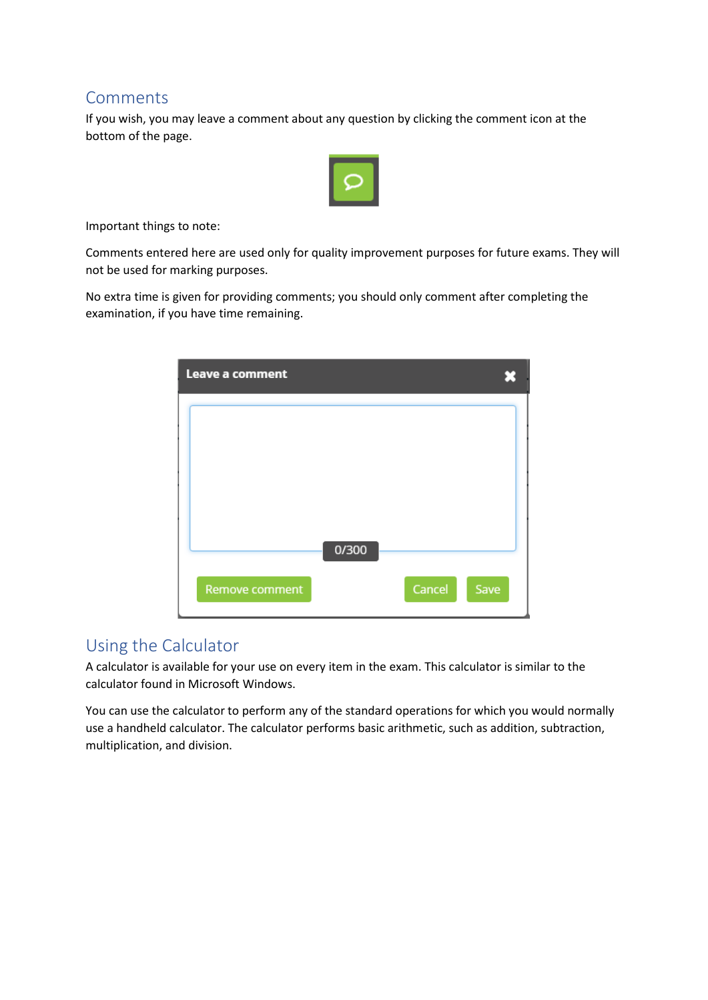#### <span id="page-5-0"></span>Comments

If you wish, you may leave a comment about any question by clicking the comment icon at the bottom of the page.



Important things to note:

Comments entered here are used only for quality improvement purposes for future exams. They will not be used for marking purposes.

No extra time is given for providing comments; you should only comment after completing the examination, if you have time remaining.

| Leave a comment |       |        |      |
|-----------------|-------|--------|------|
|                 |       |        |      |
|                 |       |        |      |
|                 |       |        |      |
|                 |       |        |      |
|                 | 0/300 |        |      |
| Remove comment  |       | Cancel | Save |

#### <span id="page-5-1"></span>Using the Calculator

A calculator is available for your use on every item in the exam. This calculator is similar to the calculator found in Microsoft Windows.

You can use the calculator to perform any of the standard operations for which you would normally use a handheld calculator. The calculator performs basic arithmetic, such as addition, subtraction, multiplication, and division.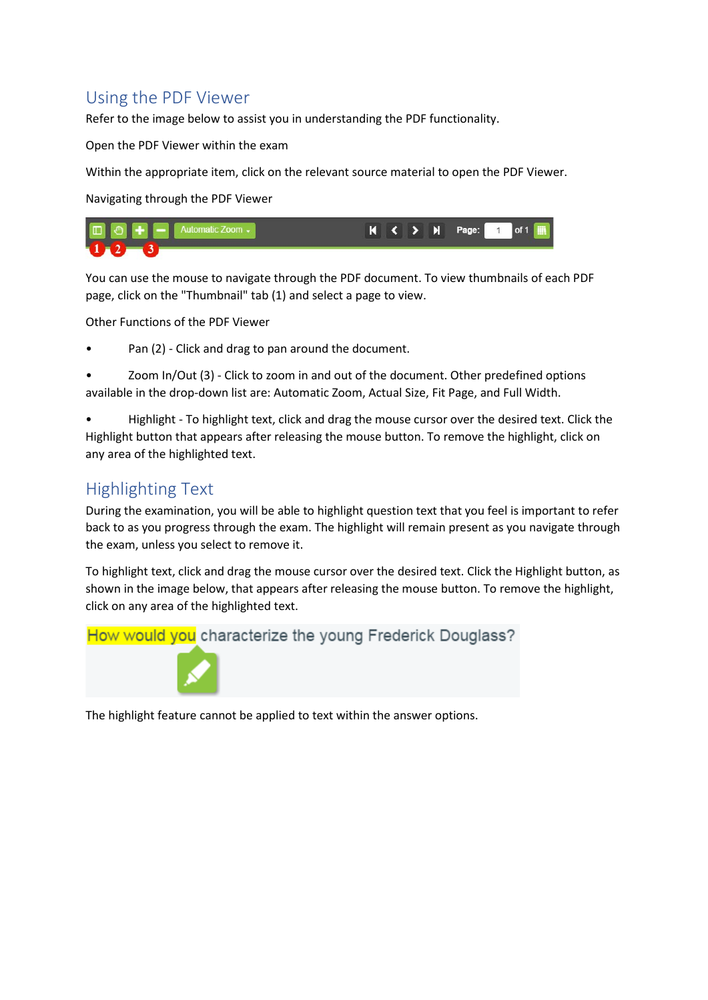# <span id="page-6-0"></span>Using the PDF Viewer

Refer to the image below to assist you in understanding the PDF functionality.

Open the PDF Viewer within the exam

Within the appropriate item, click on the relevant source material to open the PDF Viewer.

Navigating through the PDF Viewer



You can use the mouse to navigate through the PDF document. To view thumbnails of each PDF page, click on the "Thumbnail" tab (1) and select a page to view.

Other Functions of the PDF Viewer

• Pan (2) - Click and drag to pan around the document.

• Zoom In/Out (3) - Click to zoom in and out of the document. Other predefined options available in the drop-down list are: Automatic Zoom, Actual Size, Fit Page, and Full Width.

• Highlight - To highlight text, click and drag the mouse cursor over the desired text. Click the Highlight button that appears after releasing the mouse button. To remove the highlight, click on any area of the highlighted text.

## <span id="page-6-1"></span>Highlighting Text

During the examination, you will be able to highlight question text that you feel is important to refer back to as you progress through the exam. The highlight will remain present as you navigate through the exam, unless you select to remove it.

To highlight text, click and drag the mouse cursor over the desired text. Click the Highlight button, as shown in the image below, that appears after releasing the mouse button. To remove the highlight, click on any area of the highlighted text.



The highlight feature cannot be applied to text within the answer options.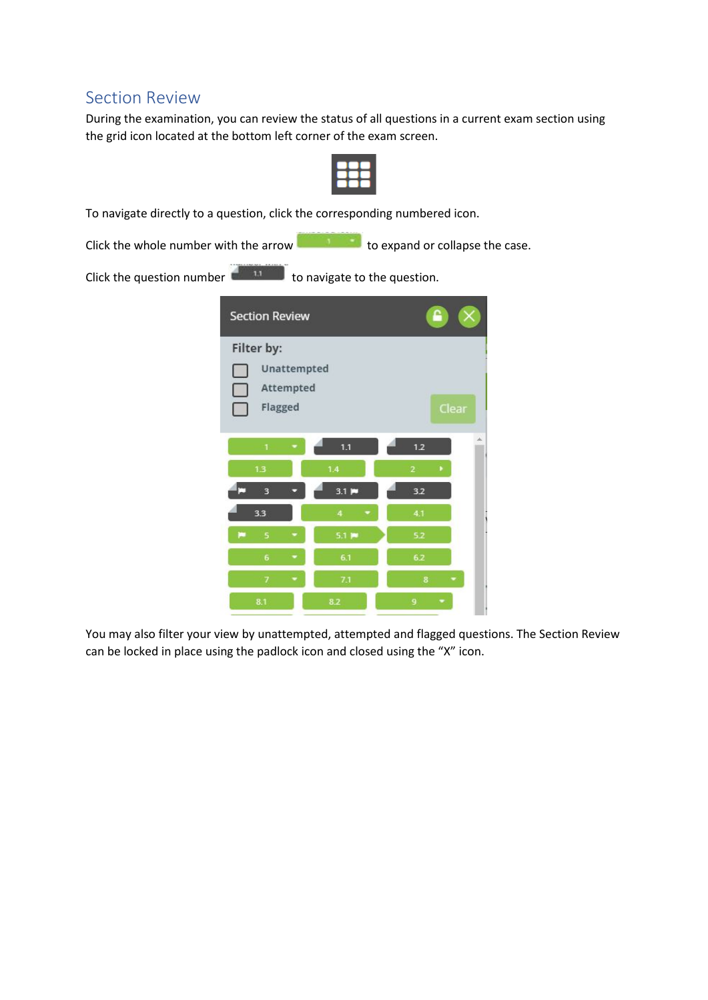#### <span id="page-7-0"></span>Section Review

During the examination, you can review the status of all questions in a current exam section using the grid icon located at the bottom left corner of the exam screen.



To navigate directly to a question, click the corresponding numbered icon.

Click the whole number with the arrow to expand or collapse the case.

Click the question number  $\overline{t}$  to navigate to the question.

|             | <b>Section Review</b> | ≏                           |                   |  |
|-------------|-----------------------|-----------------------------|-------------------|--|
| Filter by:  |                       |                             |                   |  |
| Unattempted |                       |                             |                   |  |
|             | Attempted<br>Flagged  | Clear                       |                   |  |
|             |                       |                             |                   |  |
|             | Ŧ.<br>×               | 1.1                         | di.<br>1.2        |  |
|             | 1.3                   | 1.4                         | ٠<br>$\mathbf{2}$ |  |
| œ           | $\overline{3}$        | $3.1$ $\blacktriangleright$ | 3.2               |  |
|             | 3.3                   | $\overline{4}$              | 4.1               |  |
| ю           | 5<br>٠                | $5.1$ $\blacksquare$        | 5.2               |  |
|             | 6<br>۰                | 6.1                         | 6.2               |  |
|             | 7                     | 7.1                         | 8<br>٠            |  |
|             | 8.1                   | 8.2                         | 9<br>۰            |  |

You may also filter your view by unattempted, attempted and flagged questions. The Section Review can be locked in place using the padlock icon and closed using the "X" icon.